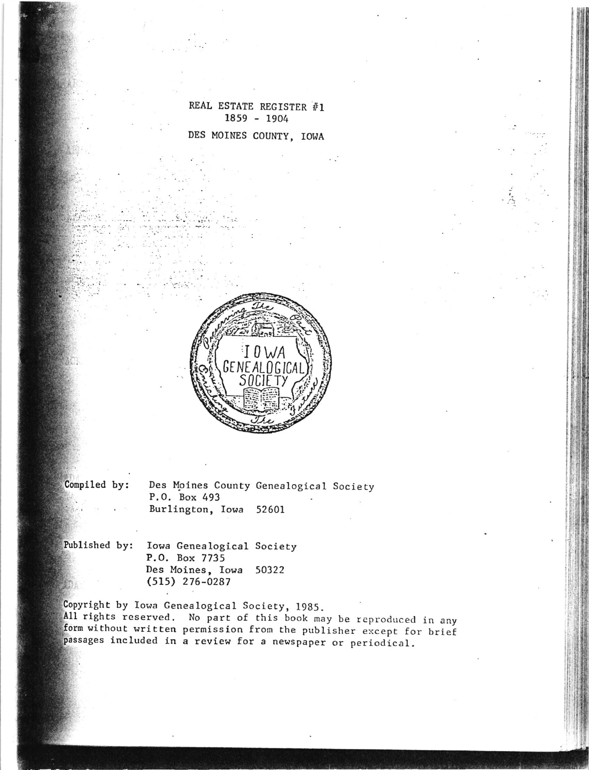REAL ESTATE REGISTER #1  $1859 - 1904$ DES MOINES COUNTY, IOWA



Compiled by:

Des Moines County Genealogical Society P.O. Box 493 Burlington, Iowa 52601

Published by:

Iowa Genealogical Society P.O. Box 7735 Des Moines, Iowa 50322  $(515)$  276-0287

Copyright by Iowa Genealogical Society, 1985.

All rights reserved. No part of this book may be reproduced in any form without written permission from the publisher except for brief passages included in a review for a newspaper or periodical.